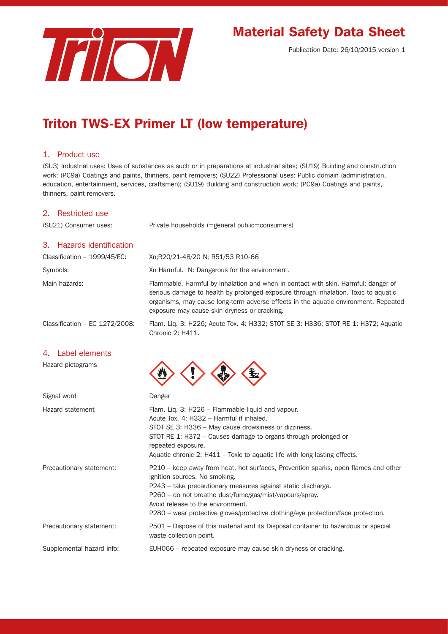

# Material Safety Data Sheet

Publication Date: 26/10/2015 version 1

# Triton TWS-EX Primer LT (low temperature)

## 1. Product use

(SU3) Industrial uses: Uses of substances as such or in preparations at industrial sites; (SU19) Building and construction work: (PC9a) Coatings and paints, thinners, paint removers; (SU22) Professional uses: Public domain (administration, education, entertainment, services, craftsmen); (SU19) Building and construction work; (PC9a) Coatings and paints, thinners, paint removers.

## 2. Restricted use

(SU21) Consumer uses: Private households (=general public=consumers)

## 3. Hazards identification

| Classification - 1999/45/EC:     | Xn;R20/21-48/20 N; R51/53 R10-66                                                                                                                                                                                                                                                                                 |
|----------------------------------|------------------------------------------------------------------------------------------------------------------------------------------------------------------------------------------------------------------------------------------------------------------------------------------------------------------|
| Symbols:                         | Xn Harmful. N: Dangerous for the environment.                                                                                                                                                                                                                                                                    |
| Main hazards:                    | Flammable. Harmful by inhalation and when in contact with skin. Harmful: danger of<br>serious damage to health by prolonged exposure through inhalation. Toxic to aquatic<br>organisms, may cause long-term adverse effects in the aquatic environment. Repeated<br>exposure may cause skin dryness or cracking. |
| Classification $-$ EC 1272/2008: | Flam. Lig. 3: H226; Acute Tox. 4: H332; STOT SE 3: H336: STOT RE 1: H372; Aguatic<br>Chronic 2: H411.                                                                                                                                                                                                            |

## 4. Label elements

Hazard pictograms

| Signal word               | Danger                                                                                                                                                                                                                                                                                                                                                                   |
|---------------------------|--------------------------------------------------------------------------------------------------------------------------------------------------------------------------------------------------------------------------------------------------------------------------------------------------------------------------------------------------------------------------|
| Hazard statement          | Flam. Liq. 3: H226 - Flammable liquid and vapour.<br>Acute Tox. 4: H332 - Harmful if inhaled.<br>STOT SE 3: H336 – May cause drowsiness or dizziness.<br>STOT RE 1: H372 – Causes damage to organs through prolonged or<br>repeated exposure.<br>Aquatic chronic 2: $H411 - Toxic$ to aquatic life with long lasting effects.                                            |
| Precautionary statement:  | P210 – keep away from heat, hot surfaces, Prevention sparks, open flames and other<br>ignition sources. No smoking.<br>P243 - take precautionary measures against static discharge.<br>P260 – do not breathe dust/fume/gas/mist/vapours/spray.<br>Avoid release to the environment.<br>P280 – wear protective gloves/protective clothing/eye protection/face protection. |
| Precautionary statement:  | P501 – Dispose of this material and its Disposal container to hazardous or special<br>waste collection point.                                                                                                                                                                                                                                                            |
| Supplemental hazard info: | EUHO66 – repeated exposure may cause skin dryness or cracking.                                                                                                                                                                                                                                                                                                           |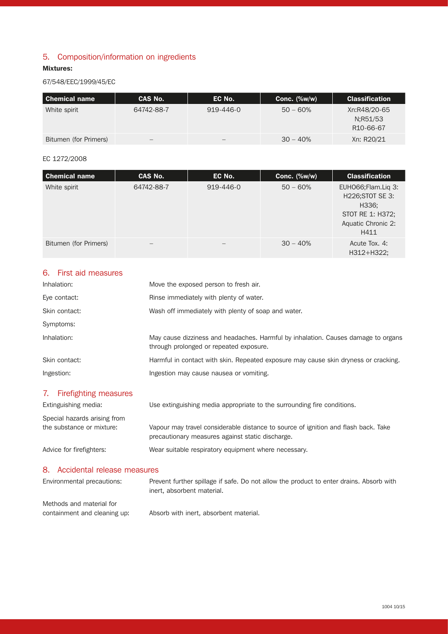# 5. Composition/information on ingredients

## Mixtures:

## 67/548/EEC/1999/45/EC

| l Chemical name       | CAS No.    | EC No.    | Conc. $(\%w/w)$ | <b>Classification</b>                              |
|-----------------------|------------|-----------|-----------------|----------------------------------------------------|
| White spirit          | 64742-88-7 | 919-446-0 | $50 - 60%$      | Xn:R48/20-65<br>N:R51/53<br>R <sub>10</sub> -66-67 |
| Bitumen (for Primers) |            | —         | $30 - 40%$      | Xn: R20/21                                         |

#### EC 1272/2008

| Chemical name         | CAS No.           | EC No.    | Conc. $(\%w/w)$ | <b>Classification</b>                                                                               |
|-----------------------|-------------------|-----------|-----------------|-----------------------------------------------------------------------------------------------------|
| White spirit          | 64742-88-7        | 919-446-0 | $50 - 60%$      | EUHO66; Flam. Lig 3:<br>H226; STOT SE 3:<br>H336;<br>STOT RE 1: H372;<br>Aquatic Chronic 2:<br>H411 |
| Bitumen (for Primers) | $\qquad \qquad -$ |           | $30 - 40%$      | Acute Tox, 4:<br>H312+H322;                                                                         |

# 6. First aid measures

| May cause dizziness and headaches. Harmful by inhalation. Causes damage to organs   |
|-------------------------------------------------------------------------------------|
| Harmful in contact with skin. Repeated exposure may cause skin dryness or cracking. |
|                                                                                     |
|                                                                                     |

# 7. Firefighting measures

| Extinguishing media:                                      | Use extinguishing media appropriate to the surrounding fire conditions.                                                                |
|-----------------------------------------------------------|----------------------------------------------------------------------------------------------------------------------------------------|
| Special hazards arising from<br>the substance or mixture: | Vapour may travel considerable distance to source of ignition and flash back. Take<br>precautionary measures against static discharge. |
| Advice for firefighters:                                  | Wear suitable respiratory equipment where necessary.                                                                                   |

# 8. Accidental release measures

| Environmental precautions:                               | Prevent further spillage if safe. Do not allow the product to enter drains. Absorb with<br>inert, absorbent material. |
|----------------------------------------------------------|-----------------------------------------------------------------------------------------------------------------------|
| Methods and material for<br>containment and cleaning up: | Absorb with inert, absorbent material.                                                                                |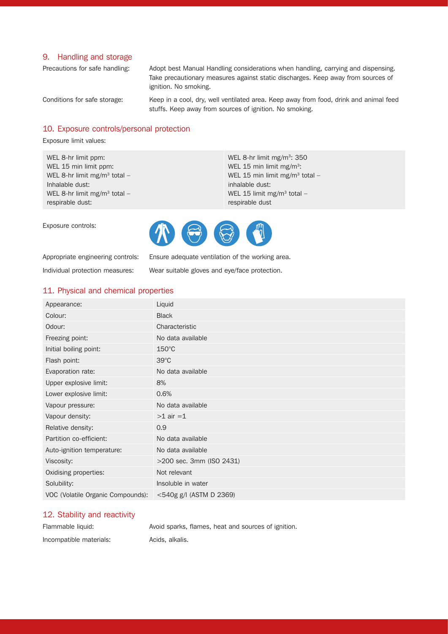#### 9. Handling and storage

Precautions for safe handling: Adopt best Manual Handling considerations when handling, carrying and dispensing. Take precautionary measures against static discharges. Keep away from sources of ignition. No smoking.

Conditions for safe storage: Keep in a cool, dry, well ventilated area. Keep away from food, drink and animal feed stuffs. Keep away from sources of ignition. No smoking.

## 10. Exposure controls/personal protection

Exposure limit values:

Exposure controls:

WEL 8-hr limit ppm: WEL 15 min limit ppm: WEL 8-hr limit mg/m<sup>3</sup> total  $-$ Inhalable dust: WEL 8-hr limit mg/m<sup>3</sup> total respirable dust:

WEL 8-hr limit mg/m<sup>3</sup>: 350 WEL 15 min limit mg/m<sup>3</sup>: WEL 15 min limit mg/m<sup>3</sup> total inhalable dust: WEL 15 limit mg/m<sup>3</sup> total respirable dust



Appropriate engineering controls: Ensure adequate ventilation of the working area.

Individual protection measures: Wear suitable gloves and eye/face protection.

#### 11. Physical and chemical properties

| Appearance:                       | Liquid                     |
|-----------------------------------|----------------------------|
| Colour:                           | <b>Black</b>               |
| Odour:                            | Characteristic             |
| Freezing point:                   | No data available          |
| Initial boiling point:            | $150^{\circ}$ C            |
| Flash point:                      | $39^{\circ}$ C             |
| Evaporation rate:                 | No data available          |
| Upper explosive limit:            | 8%                         |
| Lower explosive limit:            | 0.6%                       |
| Vapour pressure:                  | No data available          |
| Vapour density:                   | $>1$ air $=1$              |
| Relative density:                 | 0.9                        |
| Partition co-efficient:           | No data available          |
| Auto-ignition temperature:        | No data available          |
| Viscosity:                        | >200 sec. 3mm (ISO 2431)   |
| Oxidising properties:             | Not relevant               |
| Solubility:                       | Insoluble in water         |
| VOC (Volatile Organic Compounds): | $<$ 540g g/l (ASTM D 2369) |

## 12. Stability and reactivity

Flammable liquid: Avoid sparks, flames, heat and sources of ignition. Incompatible materials: Acids, alkalis.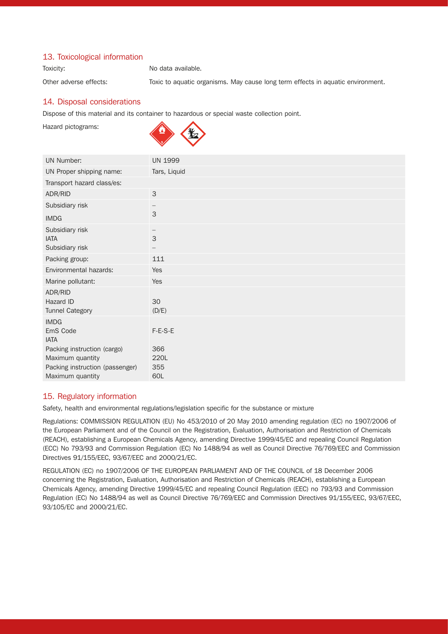## 13. Toxicological information

Toxicity: Toxicity: No data available.

Other adverse effects: Toxic to aquatic organisms. May cause long term effects in aquatic environment.

## 14. Disposal considerations

Dispose of this material and its container to hazardous or special waste collection point.

Hazard pictograms:



| <b>UN Number:</b>                                                     | <b>UN 1999</b> |
|-----------------------------------------------------------------------|----------------|
| UN Proper shipping name:                                              | Tars, Liquid   |
| Transport hazard class/es:                                            |                |
| ADR/RID                                                               | 3              |
| Subsidiary risk                                                       |                |
| <b>IMDG</b>                                                           | 3              |
| Subsidiary risk<br><b>IATA</b><br>Subsidiary risk                     | 3              |
| Packing group:                                                        | 111            |
| Environmental hazards:                                                | Yes            |
| Marine pollutant:                                                     | Yes            |
| ADR/RID<br>Hazard ID<br><b>Tunnel Category</b>                        | 30<br>(D/E)    |
| <b>IMDG</b><br>EmS Code<br><b>IATA</b><br>Packing instruction (cargo) | F-E-S-E<br>366 |
| Maximum quantity                                                      | 220L           |
| Packing instruction (passenger)                                       | 355            |
| Maximum quantity                                                      | 60L            |

#### 15. Regulatory information

Safety, health and environmental regulations/legislation specific for the substance or mixture

Regulations: COMMISSION REGULATION (EU) No 453/2010 of 20 May 2010 amending regulation (EC) no 1907/2006 of the European Parliament and of the Council on the Registration, Evaluation, Authorisation and Restriction of Chemicals (REACH), establishing a European Chemicals Agency, amending Directive 1999/45/EC and repealing Council Regulation (ECC) No 793/93 and Commission Regulation (EC) No 1488/94 as well as Council Directive 76/769/EEC and Commission Directives 91/155/EEC, 93/67/EEC and 2000/21/EC.

REGULATION (EC) no 1907/2006 OF THE EUROPEAN PARLIAMENT AND OF THE COUNCIL of 18 December 2006 concerning the Registration, Evaluation, Authorisation and Restriction of Chemicals (REACH), establishing a European Chemicals Agency, amending Directive 1999/45/EC and repealing Council Regulation (EEC) no 793/93 and Commission Regulation (EC) No 1488/94 as well as Council Directive 76/769/EEC and Commission Directives 91/155/EEC, 93/67/EEC, 93/105/EC and 2000/21/EC.